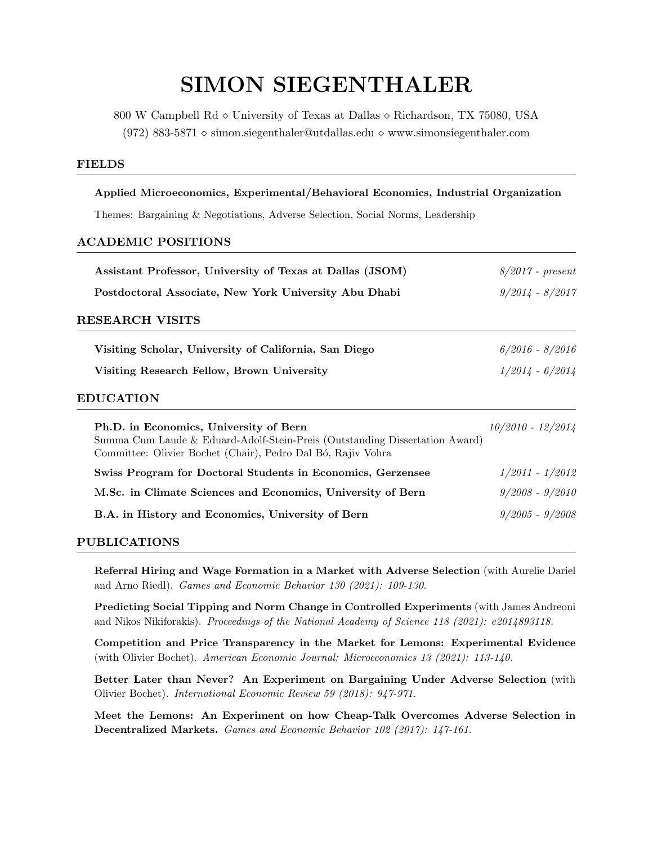# SIMON SIEGENTHALER

800 W Campbell Rd  $\diamond$  University of Texas at Dallas  $\diamond$  Richardson, TX 75080, USA (972) 883-5871  $\diamond$  simon.siegenthaler@utdallas.edu  $\diamond$  www.simonsiegenthaler.com

# FIELDS

| Applied Microeconomics, Experimental/Behavioral Economics, Industrial Organization                                                                                                    |                     |
|---------------------------------------------------------------------------------------------------------------------------------------------------------------------------------------|---------------------|
| Themes: Bargaining & Negotiations, Adverse Selection, Social Norms, Leadership                                                                                                        |                     |
| <b>ACADEMIC POSITIONS</b>                                                                                                                                                             |                     |
| Assistant Professor, University of Texas at Dallas (JSOM)                                                                                                                             | $8/2017$ - present  |
| Postdoctoral Associate, New York University Abu Dhabi                                                                                                                                 | $9/2014 - 8/2017$   |
| RESEARCH VISITS                                                                                                                                                                       |                     |
| Visiting Scholar, University of California, San Diego                                                                                                                                 | $6/2016 - 8/2016$   |
| Visiting Research Fellow, Brown University                                                                                                                                            | $1/2014 - 6/2014$   |
| <b>EDUCATION</b>                                                                                                                                                                      |                     |
| Ph.D. in Economics, University of Bern<br>Summa Cum Laude & Eduard-Adolf-Stein-Preis (Outstanding Dissertation Award)<br>Committee: Olivier Bochet (Chair), Pedro Dal Bó, Rajiv Vohra | $10/2010 - 12/2014$ |
| Swiss Program for Doctoral Students in Economics, Gerzensee                                                                                                                           | $1/2011 - 1/2012$   |
| M.Sc. in Climate Sciences and Economics, University of Bern                                                                                                                           | $9/2008 - 9/2010$   |
| B.A. in History and Economics, University of Bern                                                                                                                                     | $9/2005 - 9/2008$   |
| <b>PUBLICATIONS</b>                                                                                                                                                                   |                     |

Referral Hiring and Wage Formation in a Market with Adverse Selection (with Aurelie Dariel and Arno Riedl). Games and Economic Behavior 130 (2021): 109-130.

Predicting Social Tipping and Norm Change in Controlled Experiments (with James Andreoni and Nikos Nikiforakis). Proceedings of the National Academy of Science 118 (2021): e2014893118.

Competition and Price Transparency in the Market for Lemons: Experimental Evidence (with Olivier Bochet). American Economic Journal: Microeconomics 13 (2021): 113-140.

Better Later than Never? An Experiment on Bargaining Under Adverse Selection (with Olivier Bochet). International Economic Review 59 (2018): 947-971.

Meet the Lemons: An Experiment on how Cheap-Talk Overcomes Adverse Selection in Decentralized Markets. Games and Economic Behavior 102 (2017): 147-161.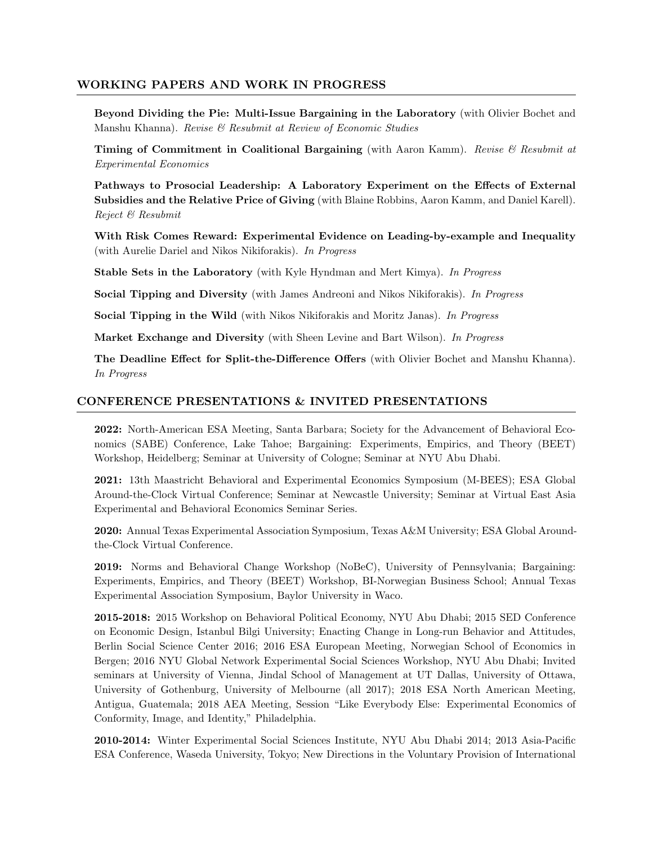# WORKING PAPERS AND WORK IN PROGRESS

Beyond Dividing the Pie: Multi-Issue Bargaining in the Laboratory (with Olivier Bochet and Manshu Khanna). Revise & Resubmit at Review of Economic Studies

Timing of Commitment in Coalitional Bargaining (with Aaron Kamm). Revise  $\mathcal{C}$  Resubmit at Experimental Economics

Pathways to Prosocial Leadership: A Laboratory Experiment on the Effects of External Subsidies and the Relative Price of Giving (with Blaine Robbins, Aaron Kamm, and Daniel Karell). Reject & Resubmit

With Risk Comes Reward: Experimental Evidence on Leading-by-example and Inequality (with Aurelie Dariel and Nikos Nikiforakis). In Progress

Stable Sets in the Laboratory (with Kyle Hyndman and Mert Kimya). In Progress

Social Tipping and Diversity (with James Andreoni and Nikos Nikiforakis). In Progress

Social Tipping in the Wild (with Nikos Nikiforakis and Moritz Janas). In Progress

Market Exchange and Diversity (with Sheen Levine and Bart Wilson). In Progress

The Deadline Effect for Split-the-Difference Offers (with Olivier Bochet and Manshu Khanna). In Progress

# CONFERENCE PRESENTATIONS & INVITED PRESENTATIONS

2022: North-American ESA Meeting, Santa Barbara; Society for the Advancement of Behavioral Economics (SABE) Conference, Lake Tahoe; Bargaining: Experiments, Empirics, and Theory (BEET) Workshop, Heidelberg; Seminar at University of Cologne; Seminar at NYU Abu Dhabi.

2021: 13th Maastricht Behavioral and Experimental Economics Symposium (M-BEES); ESA Global Around-the-Clock Virtual Conference; Seminar at Newcastle University; Seminar at Virtual East Asia Experimental and Behavioral Economics Seminar Series.

2020: Annual Texas Experimental Association Symposium, Texas A&M University; ESA Global Aroundthe-Clock Virtual Conference.

2019: Norms and Behavioral Change Workshop (NoBeC), University of Pennsylvania; Bargaining: Experiments, Empirics, and Theory (BEET) Workshop, BI-Norwegian Business School; Annual Texas Experimental Association Symposium, Baylor University in Waco.

2015-2018: 2015 Workshop on Behavioral Political Economy, NYU Abu Dhabi; 2015 SED Conference on Economic Design, Istanbul Bilgi University; Enacting Change in Long-run Behavior and Attitudes, Berlin Social Science Center 2016; 2016 ESA European Meeting, Norwegian School of Economics in Bergen; 2016 NYU Global Network Experimental Social Sciences Workshop, NYU Abu Dhabi; Invited seminars at University of Vienna, Jindal School of Management at UT Dallas, University of Ottawa, University of Gothenburg, University of Melbourne (all 2017); 2018 ESA North American Meeting, Antigua, Guatemala; 2018 AEA Meeting, Session "Like Everybody Else: Experimental Economics of Conformity, Image, and Identity," Philadelphia.

2010-2014: Winter Experimental Social Sciences Institute, NYU Abu Dhabi 2014; 2013 Asia-Pacific ESA Conference, Waseda University, Tokyo; New Directions in the Voluntary Provision of International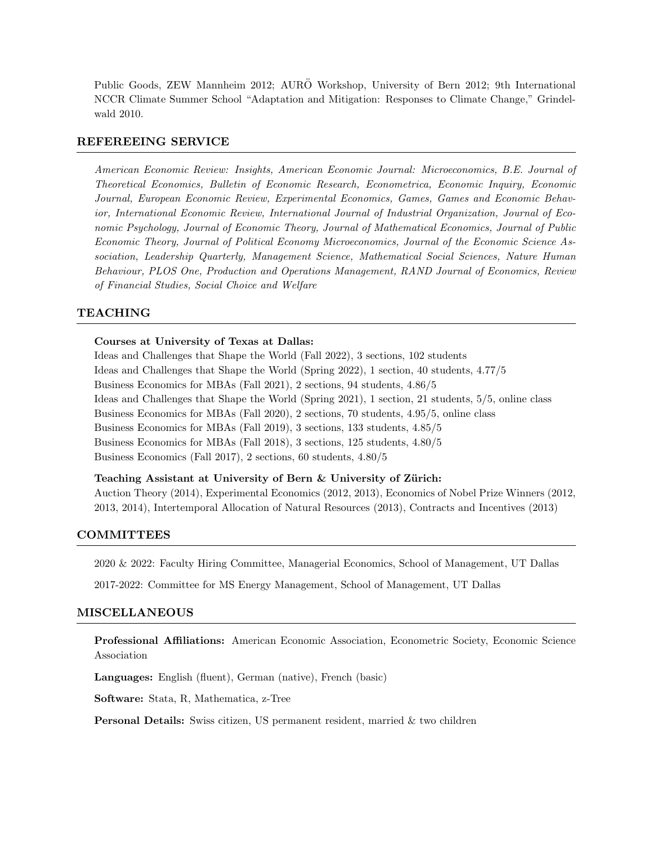Public Goods, ZEW Mannheim 2012; AURÖ Workshop, University of Bern 2012; 9th International NCCR Climate Summer School "Adaptation and Mitigation: Responses to Climate Change," Grindelwald 2010.

## REFEREEING SERVICE

American Economic Review: Insights, American Economic Journal: Microeconomics, B.E. Journal of Theoretical Economics, Bulletin of Economic Research, Econometrica, Economic Inquiry, Economic Journal, European Economic Review, Experimental Economics, Games, Games and Economic Behavior, International Economic Review, International Journal of Industrial Organization, Journal of Economic Psychology, Journal of Economic Theory, Journal of Mathematical Economics, Journal of Public Economic Theory, Journal of Political Economy Microeconomics, Journal of the Economic Science Association, Leadership Quarterly, Management Science, Mathematical Social Sciences, Nature Human Behaviour, PLOS One, Production and Operations Management, RAND Journal of Economics, Review of Financial Studies, Social Choice and Welfare

## TEACHING

#### Courses at University of Texas at Dallas:

Ideas and Challenges that Shape the World (Fall 2022), 3 sections, 102 students Ideas and Challenges that Shape the World (Spring 2022), 1 section, 40 students, 4.77/5 Business Economics for MBAs (Fall 2021), 2 sections, 94 students, 4.86/5 Ideas and Challenges that Shape the World (Spring 2021), 1 section, 21 students, 5/5, online class Business Economics for MBAs (Fall 2020), 2 sections, 70 students, 4.95/5, online class Business Economics for MBAs (Fall 2019), 3 sections, 133 students, 4.85/5 Business Economics for MBAs (Fall 2018), 3 sections, 125 students, 4.80/5 Business Economics (Fall 2017), 2 sections, 60 students, 4.80/5

#### Teaching Assistant at University of Bern & University of Zürich:

Auction Theory (2014), Experimental Economics (2012, 2013), Economics of Nobel Prize Winners (2012, 2013, 2014), Intertemporal Allocation of Natural Resources (2013), Contracts and Incentives (2013)

## **COMMITTEES**

2020 & 2022: Faculty Hiring Committee, Managerial Economics, School of Management, UT Dallas

2017-2022: Committee for MS Energy Management, School of Management, UT Dallas

#### MISCELLANEOUS

Professional Affiliations: American Economic Association, Econometric Society, Economic Science Association

Languages: English (fluent), German (native), French (basic)

Software: Stata, R, Mathematica, z-Tree

Personal Details: Swiss citizen, US permanent resident, married & two children